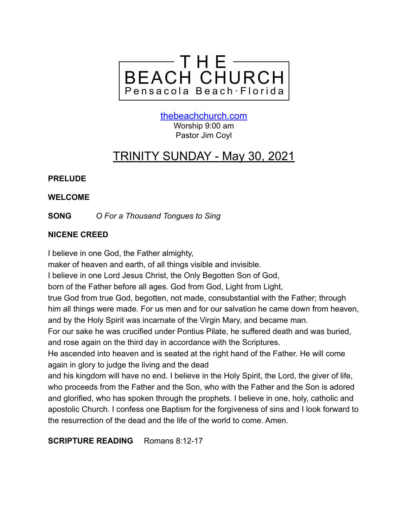

[thebeachchurch.com](http://thebeachchurch.com) Worship 9:00 am Pastor Jim Coyl

# TRINITY SUNDAY - May 30, 2021

# **PRELUDE**

# **WELCOME**

**SONG** *O For a Thousand Tongues to Sing*

# **NICENE CREED**

I believe in one God, the Father almighty,

maker of heaven and earth, of all things visible and invisible.

I believe in one Lord Jesus Christ, the Only Begotten Son of God,

born of the Father before all ages. God from God, Light from Light,

true God from true God, begotten, not made, consubstantial with the Father; through him all things were made. For us men and for our salvation he came down from heaven, and by the Holy Spirit was incarnate of the Virgin Mary, and became man.

For our sake he was crucified under Pontius Pilate, he suffered death and was buried, and rose again on the third day in accordance with the Scriptures.

He ascended into heaven and is seated at the right hand of the Father. He will come again in glory to judge the living and the dead

and his kingdom will have no end. I believe in the Holy Spirit, the Lord, the giver of life, who proceeds from the Father and the Son, who with the Father and the Son is adored and glorified, who has spoken through the prophets. I believe in one, holy, catholic and apostolic Church. I confess one Baptism for the forgiveness of sins and I look forward to the resurrection of the dead and the life of the world to come. Amen.

**SCRIPTURE READING** Romans 8:12-17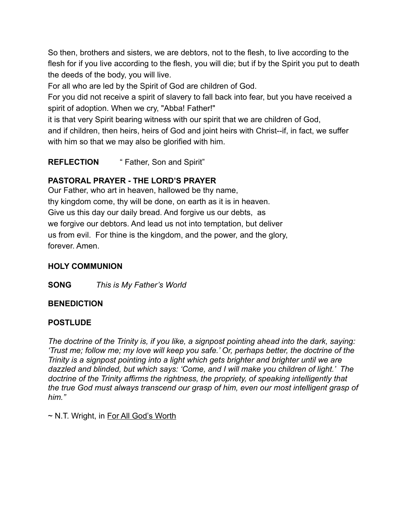So then, brothers and sisters, we are debtors, not to the flesh, to live according to the flesh for if you live according to the flesh, you will die; but if by the Spirit you put to death the deeds of the body, you will live.

For all who are led by the Spirit of God are children of God.

For you did not receive a spirit of slavery to fall back into fear, but you have received a spirit of adoption. When we cry, "Abba! Father!"

it is that very Spirit bearing witness with our spirit that we are children of God, and if children, then heirs, heirs of God and joint heirs with Christ--if, in fact, we suffer

with him so that we may also be glorified with him.

**REFLECTION** " Father, Son and Spirit"

# **PASTORAL PRAYER - THE LORD'S PRAYER**

Our Father, who art in heaven, hallowed be thy name, thy kingdom come, thy will be done, on earth as it is in heaven. Give us this day our daily bread. And forgive us our debts, as we forgive our debtors. And lead us not into temptation, but deliver us from evil. For thine is the kingdom, and the power, and the glory, forever. Amen.

# **HOLY COMMUNION**

**SONG** *This is My Father's World*

# **BENEDICTION**

# **POSTLUDE**

*The doctrine of the Trinity is, if you like, a signpost pointing ahead into the dark, saying: 'Trust me; follow me; my love will keep you safe.' Or, perhaps better, the doctrine of the Trinity is a signpost pointing into a light which gets brighter and brighter until we are dazzled and blinded, but which says: 'Come, and I will make you children of light.' The doctrine of the Trinity affirms the rightness, the propriety, of speaking intelligently that the true God must always transcend our grasp of him, even our most intelligent grasp of him."*

~ N.T. Wright, in For All God's Worth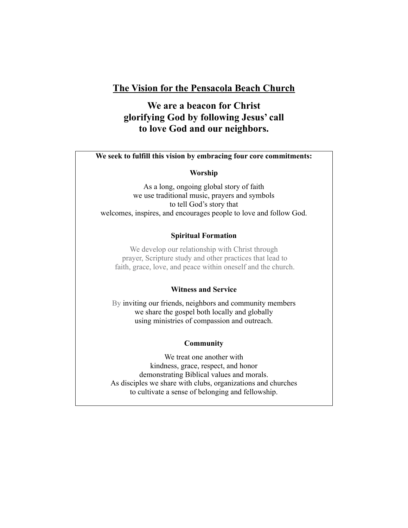### **The Vision for the Pensacola Beach Church**

# **We are a beacon for Christ glorifying God by following Jesus' call to love God and our neighbors.**

### **We seek to fulfill this vision by embracing four core commitments:**

### **Worship**

As a long, ongoing global story of faith we use traditional music, prayers and symbols to tell God's story that welcomes, inspires, and encourages people to love and follow God.

### **Spiritual Formation**

We develop our relationship with Christ through prayer, Scripture study and other practices that lead to faith, grace, love, and peace within oneself and the church.

### **Witness and Service**

By inviting our friends, neighbors and community members we share the gospel both locally and globally using ministries of compassion and outreach.

### **Community**

We treat one another with kindness, grace, respect, and honor demonstrating Biblical values and morals. As disciples we share with clubs, organizations and churches to cultivate a sense of belonging and fellowship.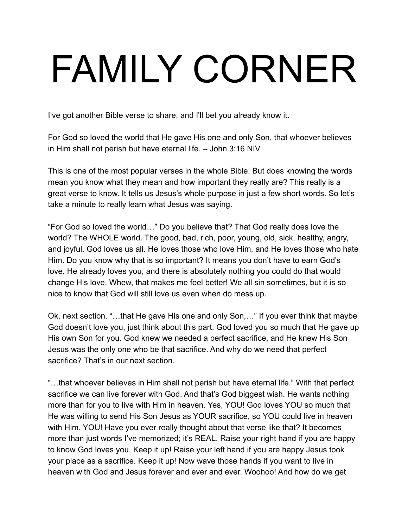# FAMILY CORNER

I've got another Bible verse to share, and I'll bet you already know it.

For God so loved the world that He gave His one and only Son, that whoever believes in Him shall not perish but have eternal life. – John 3:16 NIV

This is one of the most popular verses in the whole Bible. But does knowing the words mean you know what they mean and how important they really are? This really is a great verse to know. It tells us Jesus's whole purpose in just a few short words. So let's take a minute to really learn what Jesus was saying.

"For God so loved the world…" Do you believe that? That God really does love the world? The WHOLE world. The good, bad, rich, poor, young, old, sick, healthy, angry, and joyful. God loves us all. He loves those who love Him, and He loves those who hate Him. Do you know why that is so important? It means you don't have to earn God's love. He already loves you, and there is absolutely nothing you could do that would change His love. Whew, that makes me feel better! We all sin sometimes, but it is so nice to know that God will still love us even when do mess up.

Ok, next section. "…that He gave His one and only Son,…" If you ever think that maybe God doesn't love you, just think about this part. God loved you so much that He gave up His own Son for you. God knew we needed a perfect sacrifice, and He knew His Son Jesus was the only one who be that sacrifice. And why do we need that perfect sacrifice? That's in our next section.

"…that whoever believes in Him shall not perish but have eternal life." With that perfect sacrifice we can live forever with God. And that's God biggest wish. He wants nothing more than for you to live with Him in heaven. Yes, YOU! God loves YOU so much that He was willing to send His Son Jesus as YOUR sacrifice, so YOU could live in heaven with Him. YOU! Have you ever really thought about that verse like that? It becomes more than just words I've memorized; it's REAL. Raise your right hand if you are happy to know God loves you. Keep it up! Raise your left hand if you are happy Jesus took your place as a sacrifice. Keep it up! Now wave those hands if you want to live in heaven with God and Jesus forever and ever and ever. Woohoo! And how do we get